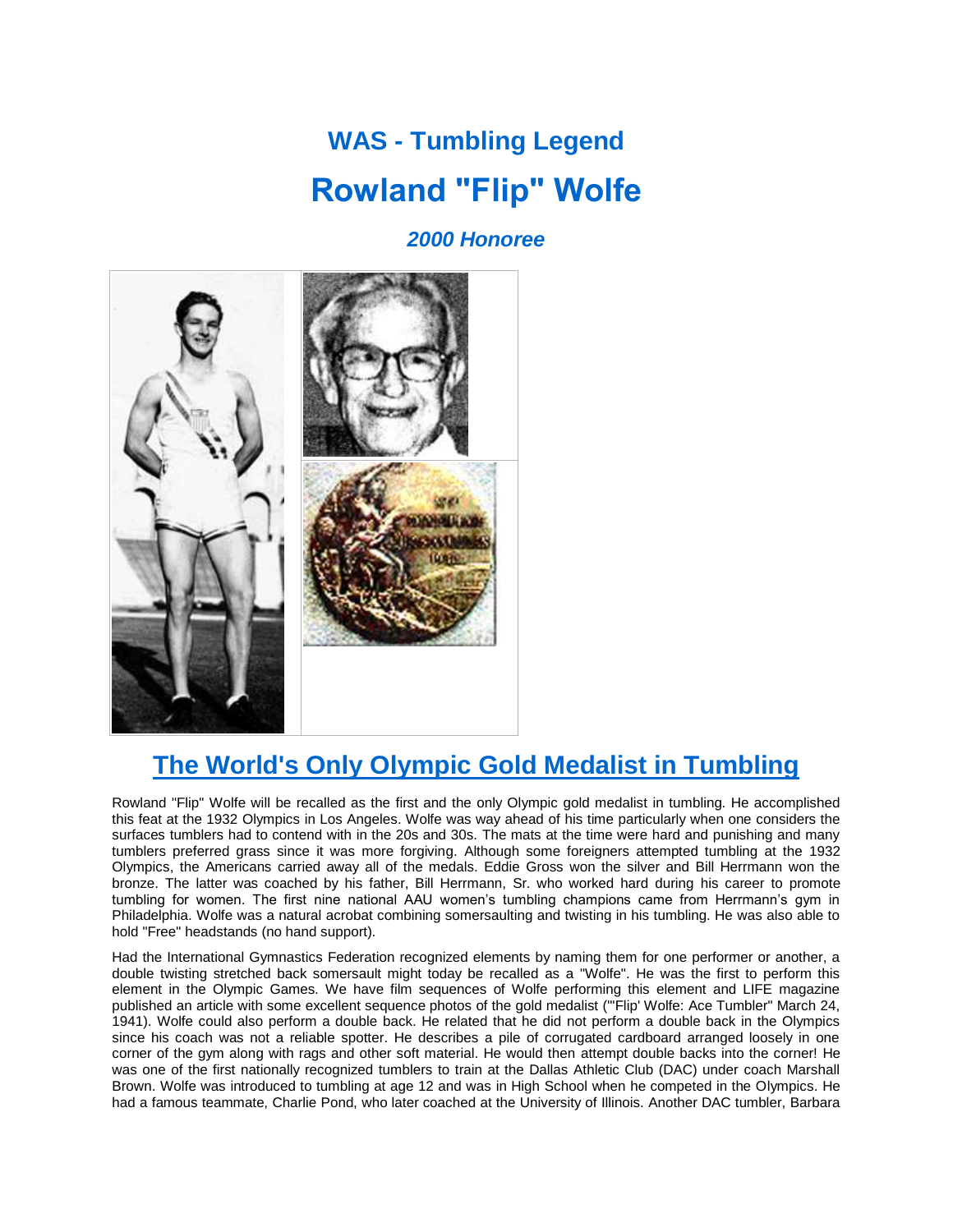## **WAS - Tumbling Legend Rowland "Flip" Wolfe**

## *2000 Honoree*



## **The World's Only Olympic Gold Medalist in Tumbling**

Rowland "Flip" Wolfe will be recalled as the first and the only Olympic gold medalist in tumbling. He accomplished this feat at the 1932 Olympics in Los Angeles. Wolfe was way ahead of his time particularly when one considers the surfaces tumblers had to contend with in the 20s and 30s. The mats at the time were hard and punishing and many tumblers preferred grass since it was more forgiving. Although some foreigners attempted tumbling at the 1932 Olympics, the Americans carried away all of the medals. Eddie Gross won the silver and Bill Herrmann won the bronze. The latter was coached by his father, Bill Herrmann, Sr. who worked hard during his career to promote tumbling for women. The first nine national AAU women's tumbling champions came from Herrmann's gym in Philadelphia. Wolfe was a natural acrobat combining somersaulting and twisting in his tumbling. He was also able to hold "Free" headstands (no hand support).

Had the International Gymnastics Federation recognized elements by naming them for one performer or another, a double twisting stretched back somersault might today be recalled as a "Wolfe". He was the first to perform this element in the Olympic Games. We have film sequences of Wolfe performing this element and LIFE magazine published an article with some excellent sequence photos of the gold medalist ("'Flip' Wolfe: Ace Tumbler" March 24, 1941). Wolfe could also perform a double back. He related that he did not perform a double back in the Olympics since his coach was not a reliable spotter. He describes a pile of corrugated cardboard arranged loosely in one corner of the gym along with rags and other soft material. He would then attempt double backs into the corner! He was one of the first nationally recognized tumblers to train at the Dallas Athletic Club (DAC) under coach Marshall Brown. Wolfe was introduced to tumbling at age 12 and was in High School when he competed in the Olympics. He had a famous teammate, Charlie Pond, who later coached at the University of Illinois. Another DAC tumbler, Barbara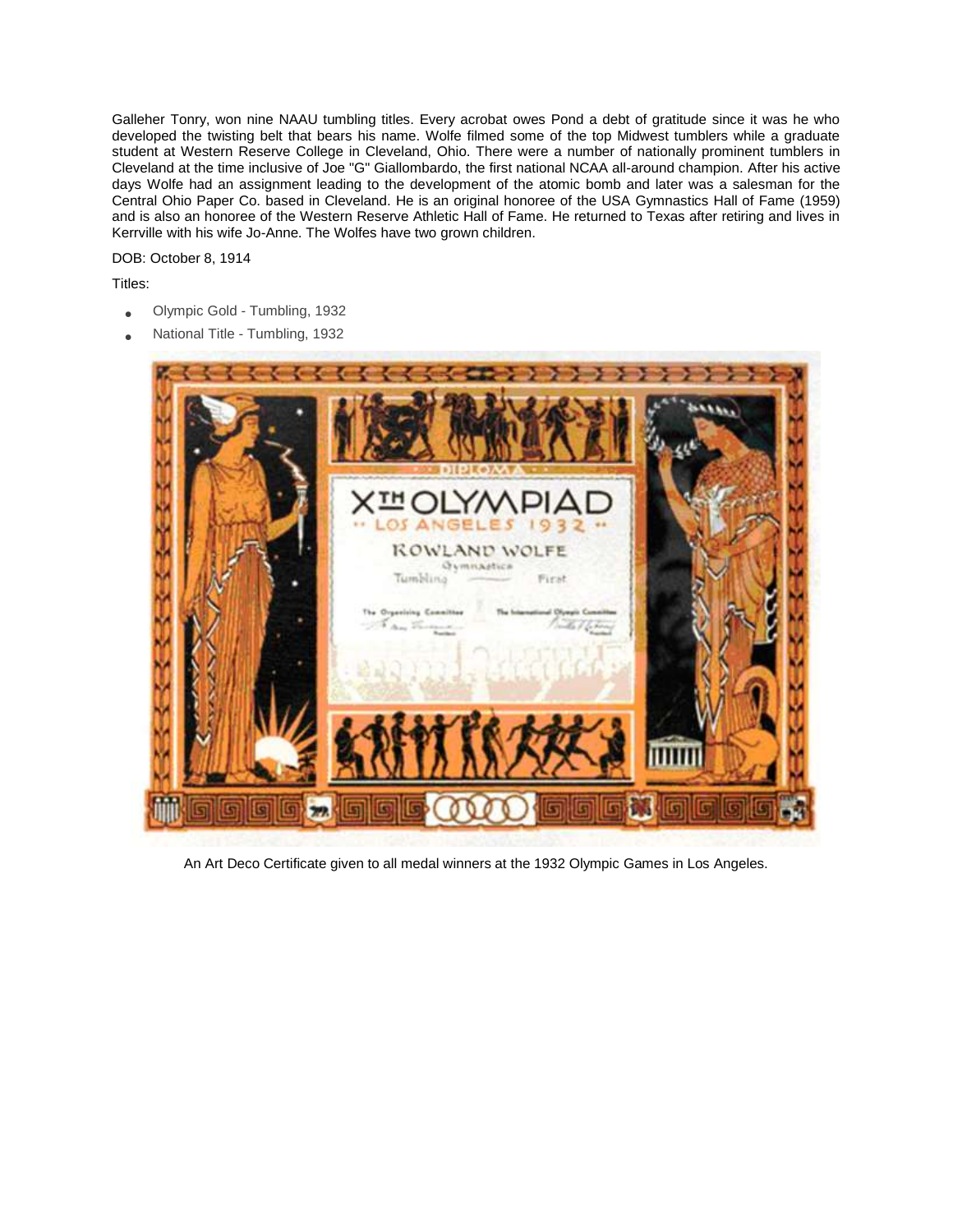Galleher Tonry, won nine NAAU tumbling titles. Every acrobat owes Pond a debt of gratitude since it was he who developed the twisting belt that bears his name. Wolfe filmed some of the top Midwest tumblers while a graduate student at Western Reserve College in Cleveland, Ohio. There were a number of nationally prominent tumblers in Cleveland at the time inclusive of Joe "G" Giallombardo, the first national NCAA all-around champion. After his active days Wolfe had an assignment leading to the development of the atomic bomb and later was a salesman for the Central Ohio Paper Co. based in Cleveland. He is an original honoree of the USA Gymnastics Hall of Fame (1959) and is also an honoree of the Western Reserve Athletic Hall of Fame. He returned to Texas after retiring and lives in Kerrville with his wife Jo-Anne. The Wolfes have two grown children.

DOB: October 8, 1914

Titles:

- Olympic Gold Tumbling, 1932
- National Title Tumbling, 1932



An Art Deco Certificate given to all medal winners at the 1932 Olympic Games in Los Angeles.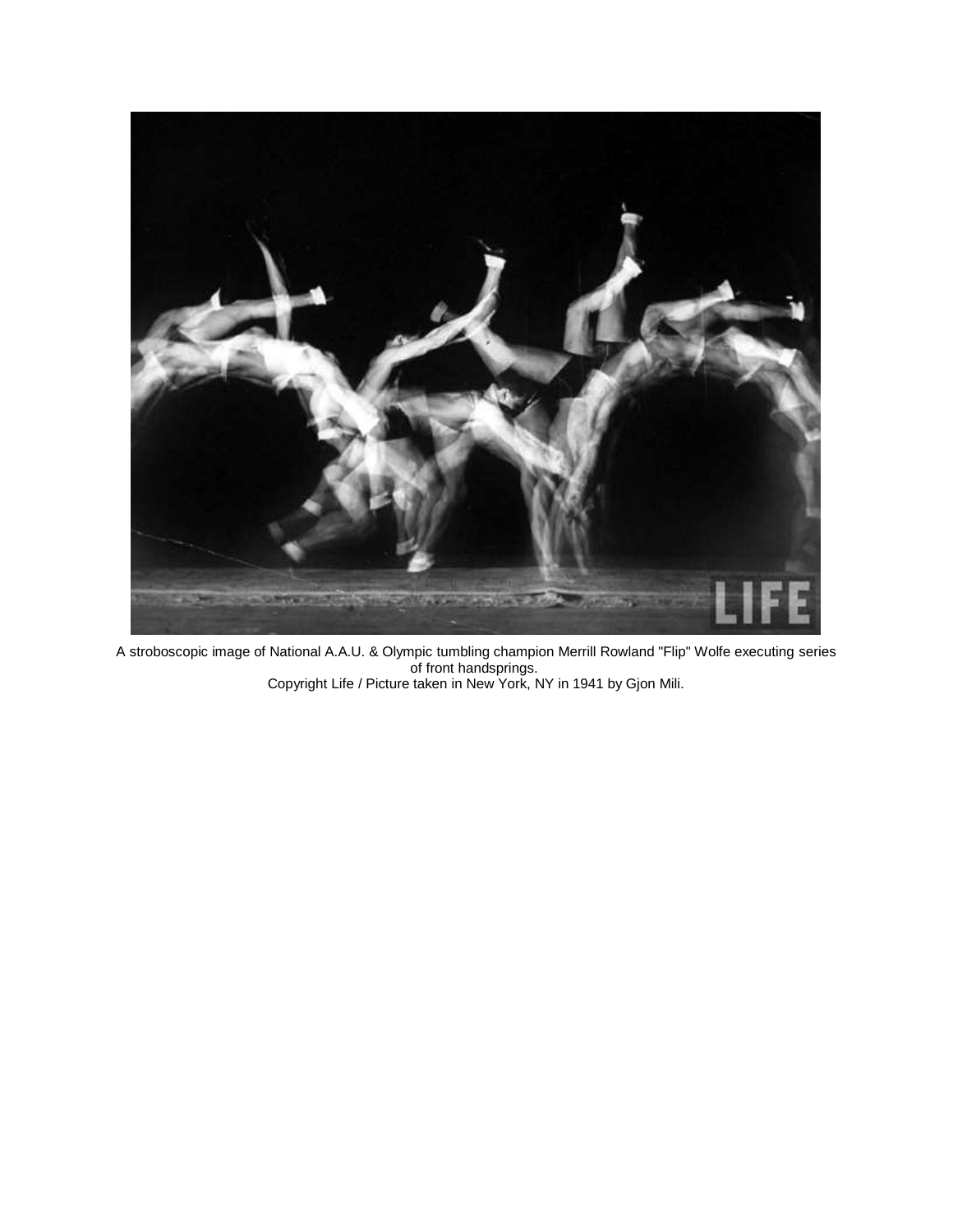

A stroboscopic image of National A.A.U. & Olympic tumbling champion Merrill Rowland "Flip" Wolfe executing series of front handsprings. Copyright Life / Picture taken in New York, NY in 1941 by Gjon Mili.